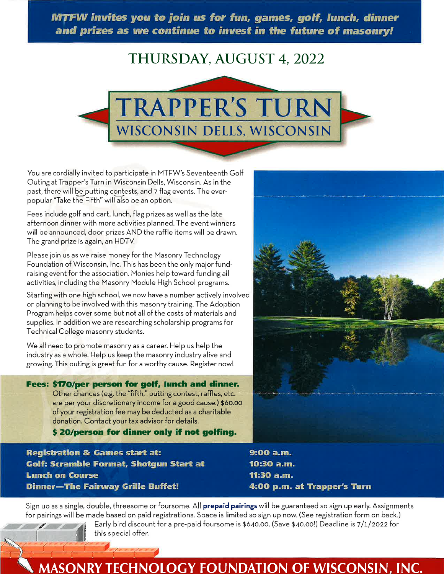MTFW invites you to join us for fun, games, golf, lunch, dinner and prizes as we continue to invest in the future of masonry!

# THURSDAY, AUGUST 4, 2022



You are cordially invited to participate in MTFW's Seventeenth Golf Outing at Trapper's Turn in Wisconsin Dells, Wisconsin. As in the past, there will be putting contests, and 7 flag events. The everpopular "Take the Fifth" will also be an option.

Fees include golf and cart, lunch, flag prizes as well as the late afternoon dinner with more activities planned. The event winners will be announced, door prizes AND the raffle items will be drawn. The grand prize is again, an HDTV.

Please join us as we raise money for the Masonry Technology Foundation of Wisconsin, Inc. This has been the only major fundraising event for the association. Monies help toward funding all activities, including the Masonry Module High School programs.

Starting with one high school, we now have a number actively involved or planning to be involved with this masonry training. The Adoption Program helps cover some but not all of the costs of materials and supplies. In addition we are researching scholarship programs for Technical College masonry students.

We all need to promote masonry as a career. Help us help the industry as a whole. Help us keep the masonry industry alive and growing. This outing is great fun for a worthy cause. Register now!

Fees: \$170/per person for golf, lunch and dinner. Other chances (e.g. the "fifth," putting contest, raffles, etc. are per your discretionary income for a good cause.) \$60.00 of your registration fee may be deducted as a charitable donation. Contact your tax advisor for details.

\$20/person for dinner only if not golfing.

**Registration & Games start at: Golf: Scramble Format, Shotgun Start at Lunch on Course Dinner-The Fairway Grille Buffet!** 

9:00 a.m. 10:30 a.m. 11:30 a.m. 4:00 p.m. at Trapper's Turn

Sign up as a single, double, threesome or foursome. All prepaid pairings will be guaranteed so sign up early. Assignments for pairings will be made based on paid registrations. Space is limited so sign up now. (See registration form on back.)

Early bird discount for a pre-paid foursome is \$640.00. (Save \$40.00!) Deadline is 7/1/2022 for this special offer.

### **MASONRY TECHNOLOGY FOUNDATION OF WISCONSIN, INC.**

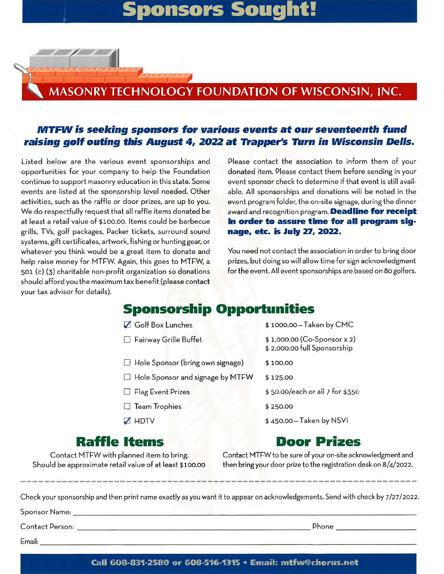# sors Soud

## ASONRY TECHNOLOGY FOUNDATION OF WISCONSIN, INC.

#### MTFW is seeking sponsors for various events at our seventeenth fund raising golf outing this August 4, 2022 at Trapper's Turn in Wisconsin Dells.

Listed below are the various event sponsorships and opportunities for your company to help the Foundation continue to support masonry education in this state. Some events are listed at the sponsorship level needed. Other activities, such as the raffle or door prizes, are up to you. We do respectfully request that all raffle items donated be at least a retail value of \$100.00. Items could be barbecue grills, TVs, golf packages, Packer tickets, surround sound systems, gift certificates, artwork, fishing or hunting gear, or whatever you think would be a great item to donate and help raise money for MTFW. Again, this goes to MTFW, a 501 (c) (3) charitable non-profit organization so donations should afford you the maximum tax benefit (please contact your tax advisor for details).

Please contact the association to inform them of your donated item. Please contact them before sending in your event sponsor check to determine if that event is still available. All sponsorships and donations will be noted in the event program folder, the on-site signage, during the dinner award and recognition program. Deadline for receipt in order to assure time for all program signage, etc. is July 27, 2022.

You need not contact the association in order to bring door prizes, but doing so will allow time for sign acknowledgment for the event. All event sponsorships are based on 80 golfers.

### **Sponsorship Opportunities**

| Golf Box Lunches                        | \$1000.00-Taken by CMC                                     |
|-----------------------------------------|------------------------------------------------------------|
| $\Box$ Fairway Grille Buffet            | \$1,000.00 (Co-Sponsor x 2)<br>\$2,000.00 full Sponsorship |
| $\Box$ Hole Sponsor (bring own signage) | \$100.00                                                   |
| □ Hole Sponsor and signage by MTFW      | \$125.00                                                   |
| □ Flag Event Prizes                     | \$50.00/each or all 7 for \$350                            |
| $\Box$ Team Trophies                    | \$250.00                                                   |
| $\times$ HDTV                           | \$450.00-Taken by NSVI                                     |
|                                         |                                                            |

#### Door Prizes

Contact MTFW with planned item to bring. Should be approximate retail value of at least \$100.00

**Raffle Items** 

Contact MTFW to be sure of your on-site acknowledgment and then bring your door prize to the registration desk on 8/4/2022.

Check your sponsorship and then print name exactly as you want it to appear on acknowledgements. Send with check by 7/27/2022.

| ءِ :Sponsor Name |  |  |
|------------------|--|--|
|                  |  |  |
|                  |  |  |

 $E$ mail: $\Box$ 

Phone

Call 608-831-2580 or 608-516-1315 · Email: mtfw@chorus.net